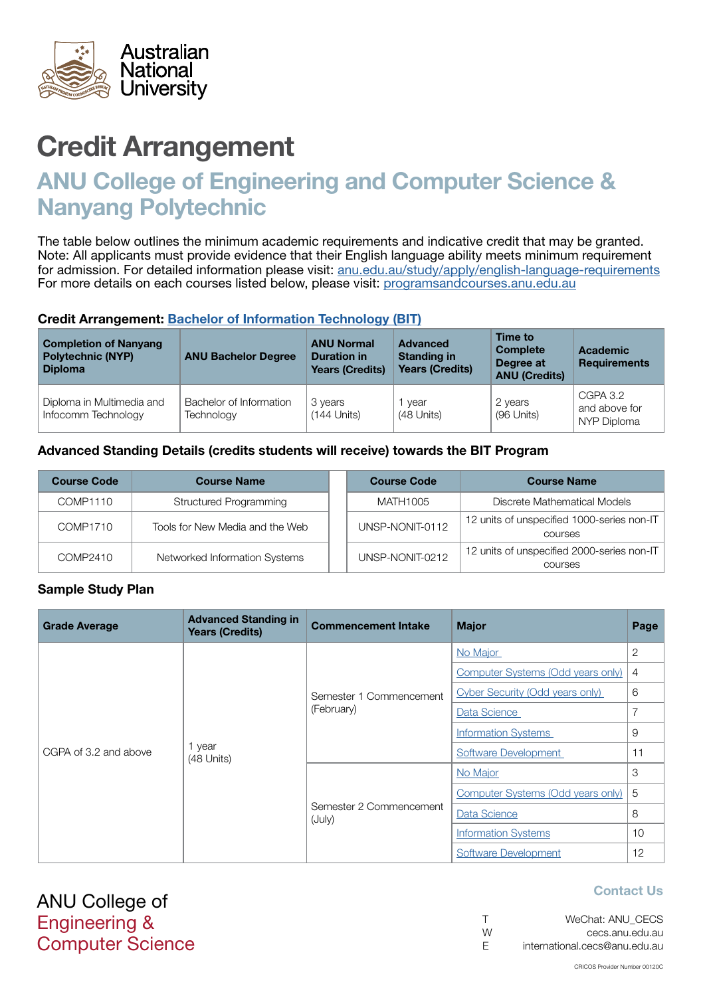

# ANU College of Engineering and Computer Science & Nanyang Polytechnic

The table below outlines the minimum academic requirements and indicative credit that may be granted. Note: All applicants must provide evidence that their English language ability meets minimum requirement for admission. For detailed information please visit: [anu.edu.au/study/apply/english-language-requirements](http://anu.edu.au/study/apply/english-language-requirements) For more details on each courses listed below, please visit: [programsandcourses.anu.edu.au](http://programsandcourses.anu.edu.au/program/BIT)

#### Credit Arrangement: [Bachelor of](http://programsandcourses.anu.edu.au/program/BIT) Information Technology (BIT)

| <b>Completion of Nanyang</b><br><b>Polytechnic (NYP)</b><br><b>Diploma</b> | <b>ANU Bachelor Degree</b>            | <b>ANU Normal</b><br><b>Duration in</b><br><b>Years (Credits)</b> | <b>Advanced</b><br><b>Standing in</b><br><b>Years (Credits)</b> | Time to<br><b>Complete</b><br>Degree at<br><b>ANU (Credits)</b> | <b>Academic</b><br><b>Requirements</b>   |
|----------------------------------------------------------------------------|---------------------------------------|-------------------------------------------------------------------|-----------------------------------------------------------------|-----------------------------------------------------------------|------------------------------------------|
| Diploma in Multimedia and<br>Infocomm Technology                           | Bachelor of Information<br>Technology | 3 years<br>$(144$ Units)                                          | vear<br>(48 Units)                                              | 2 years<br>(96 Units)                                           | CGPA 3.2<br>and above for<br>NYP Diploma |

## Advanced Standing Details (credits students will receive) towards the BIT Program

| <b>Course Code</b> | <b>Course Name</b>              | <b>Course Code</b> | <b>Course Name</b>                                    |
|--------------------|---------------------------------|--------------------|-------------------------------------------------------|
| COMP1110           | Structured Programming          | MATH1005           | Discrete Mathematical Models                          |
| COMP1710           | Tools for New Media and the Web | UNSP-NONIT-0112    | 12 units of unspecified 1000-series non-IT<br>courses |
| COMP2410           | Networked Information Systems   | UNSP-NONIT-0212    | 12 units of unspecified 2000-series non-IT<br>courses |

#### Sample Study Plan

| <b>Grade Average</b>  | <b>Advanced Standing in</b><br><b>Years (Credits)</b> | <b>Commencement Intake</b>            | <b>Major</b>                      | Page            |
|-----------------------|-------------------------------------------------------|---------------------------------------|-----------------------------------|-----------------|
|                       | year<br>(48 Units)                                    |                                       | No Major                          | $\mathbf{2}$    |
|                       |                                                       |                                       | Computer Systems (Odd years only) | $\overline{4}$  |
| CGPA of 3.2 and above |                                                       | Semester 1 Commencement<br>(February) | Cyber Security (Odd years only)   | 6               |
|                       |                                                       |                                       | Data Science                      | 7               |
|                       |                                                       |                                       | <b>Information Systems</b>        | 9               |
|                       |                                                       |                                       | Software Development              | 11              |
|                       |                                                       |                                       | No Major                          | 3               |
|                       |                                                       | Semester 2 Commencement<br>(July)     | Computer Systems (Odd years only) | 5               |
|                       |                                                       |                                       | Data Science                      | 8               |
|                       |                                                       |                                       | <b>Information Systems</b>        | 10 <sup>1</sup> |
|                       |                                                       |                                       | Software Development              | 12              |

ANU College of Engineering & Computer Science

| $\top$ | WeChat: ANU CECS              |
|--------|-------------------------------|
| W      | cecs.anu.edu.au               |
| E      | international.cecs@anu.edu.au |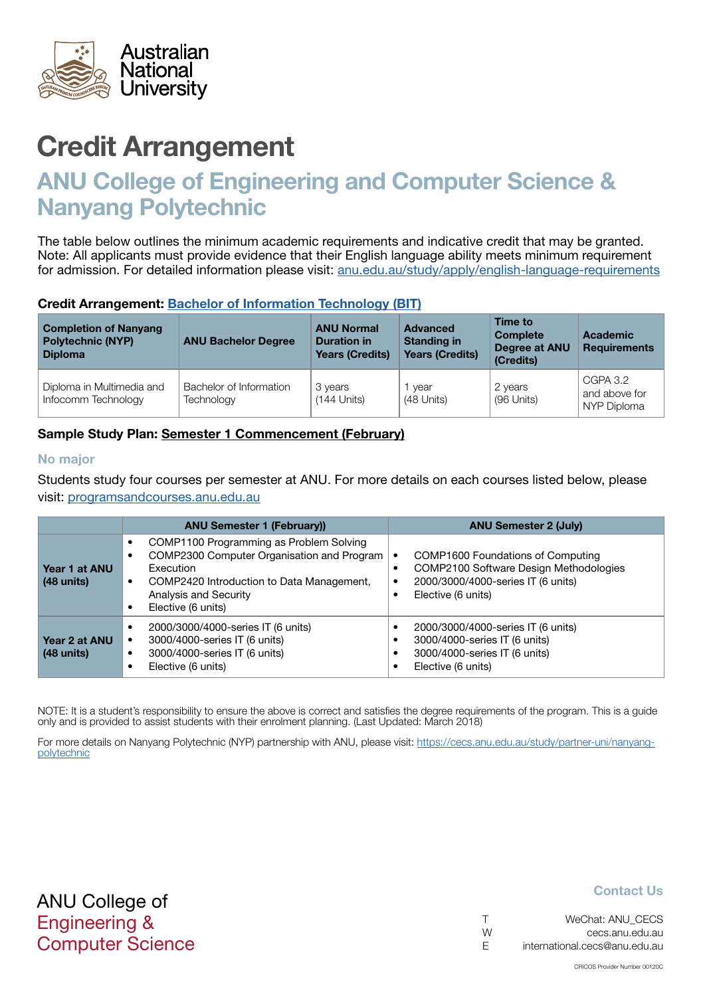<span id="page-1-0"></span>

# ANU College of Engineering and Computer Science & Nanyang Polytechnic

The table below outlines the minimum academic requirements and indicative credit that may be granted. Note: All applicants must provide evidence that their English language ability meets minimum requirement for admission. For detailed information please visit: [anu.edu.au/study/apply/english-language-requirements](http://anu.edu.au/study/apply/english-language-requirements)

## Credit Arrangement: [Bachelor of](http://programsandcourses.anu.edu.au/program/BIT) Information Technology (BIT)

| <b>Completion of Nanyang</b><br><b>Polytechnic (NYP)</b><br><b>Diploma</b> | <b>ANU Bachelor Degree</b>            | <b>ANU Normal</b><br><b>Duration in</b><br><b>Years (Credits)</b> | <b>Advanced</b><br><b>Standing in</b><br><b>Years (Credits)</b> | Time to<br><b>Complete</b><br><b>Degree at ANU</b><br>(Credits) | Academic<br><b>Requirements</b>          |
|----------------------------------------------------------------------------|---------------------------------------|-------------------------------------------------------------------|-----------------------------------------------------------------|-----------------------------------------------------------------|------------------------------------------|
| Diploma in Multimedia and<br>Infocomm Technology                           | Bachelor of Information<br>Technology | 3 years<br>$(144$ Units)                                          | vear<br>(48 Units)                                              | 2 years<br>(96 Units)                                           | CGPA 3.2<br>and above for<br>NYP Diploma |

# Sample Study Plan: Semester 1 Commencement (February)

#### No major

Students study four courses per semester at ANU. For more details on each courses listed below, please visit: [programsandcourses.anu.edu.au](http://programsandcourses.anu.edu.au/program/BIT)

|                               | <b>ANU Semester 1 (February))</b>                                                                                                                                                                           | <b>ANU Semester 2 (July)</b>                                                                                                            |  |  |
|-------------------------------|-------------------------------------------------------------------------------------------------------------------------------------------------------------------------------------------------------------|-----------------------------------------------------------------------------------------------------------------------------------------|--|--|
| Year 1 at ANU<br>$(48$ units) | COMP1100 Programming as Problem Solving<br>COMP2300 Computer Organisation and Program<br>Execution<br>COMP2420 Introduction to Data Management,<br>$\bullet$<br>Analysis and Security<br>Elective (6 units) | COMP1600 Foundations of Computing<br>COMP2100 Software Design Methodologies<br>2000/3000/4000-series IT (6 units)<br>Elective (6 units) |  |  |
| Year 2 at ANU<br>$(48$ units) | 2000/3000/4000-series IT (6 units)<br>3000/4000-series IT (6 units)<br>3000/4000-series IT (6 units)<br>Elective (6 units)                                                                                  | 2000/3000/4000-series IT (6 units)<br>3000/4000-series IT (6 units)<br>3000/4000-series IT (6 units)<br>Elective (6 units)              |  |  |

NOTE: It is a student's responsibility to ensure the above is correct and satisfies the degree requirements of the program. This is a guide only and is provided to assist students with their enrolment planning. (Last Updated: March 2018)

For more details on Nanyang Polytechnic (NYP) partnership with ANU, please visit: https://cecs.anu.edu.au/study/partner-uni/nanyangpolytechnic

| $\top$ | WeChat: ANU CECS              |
|--------|-------------------------------|
| W      | cecs.anu.edu.au               |
| -F     | international.cecs@anu.edu.au |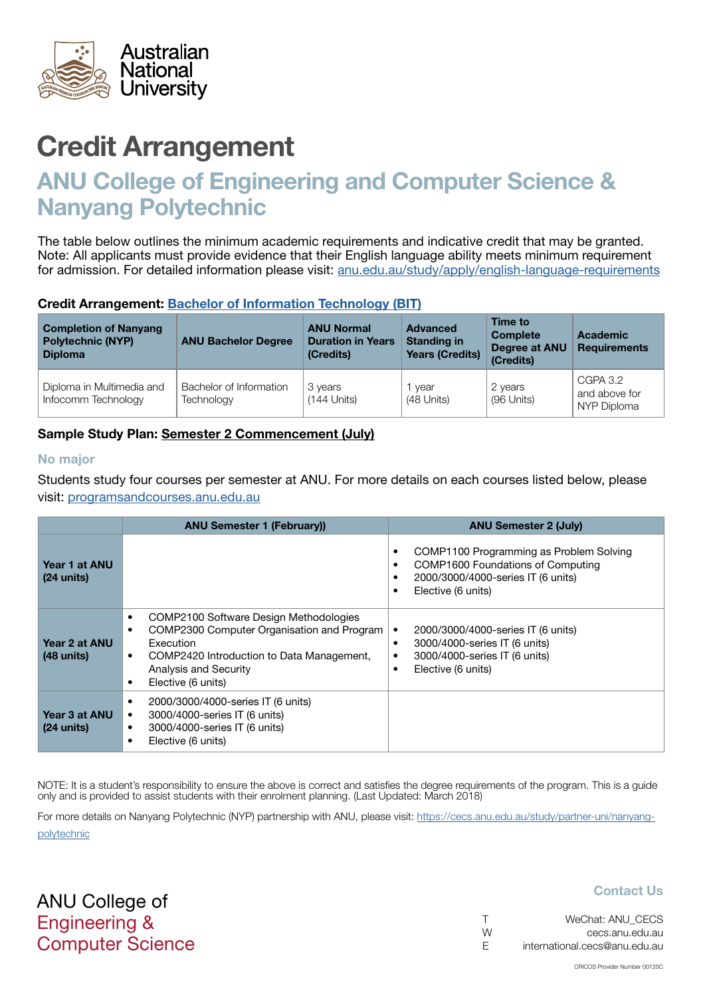<span id="page-2-0"></span>

# ANU College of Engineering and Computer Science & Nanyang Polytechnic

The table below outlines the minimum academic requirements and indicative credit that may be granted. Note: All applicants must provide evidence that their English language ability meets minimum requirement for admission. For detailed information please visit: [anu.edu.au/study/apply/english-language-requirements](http://anu.edu.au/study/apply/english-language-requirements)

## Credit Arrangement: [Bachelor of](http://programsandcourses.anu.edu.au/program/BIT) Information Technology (BIT)

| <b>Completion of Nanyang</b><br><b>Polytechnic (NYP)</b><br><b>Diploma</b> | <b>ANU Bachelor Degree</b>            | <b>ANU Normal</b><br><b>Duration in Years</b><br>(Credits) | Advanced<br><b>Standing in</b><br><b>Years (Credits)</b> | Time to<br><b>Complete</b><br>Degree at ANU<br>(Credits) | <b>Academic</b><br><b>Requirements</b>   |
|----------------------------------------------------------------------------|---------------------------------------|------------------------------------------------------------|----------------------------------------------------------|----------------------------------------------------------|------------------------------------------|
| Diploma in Multimedia and<br>Infocomm Technology                           | Bachelor of Information<br>Technology | 3 years<br>$(144$ Units)                                   | vear<br>(48 Units)                                       | 2 years<br>(96 Units)                                    | CGPA 3.2<br>and above for<br>NYP Diploma |

# Sample Study Plan: Semester 2 Commencement (July)

#### No major

Students study four courses per semester at ANU. For more details on each courses listed below, please visit: [programsandcourses.anu.edu.au](http://programsandcourses.anu.edu.au/program/BIT)

|                                       | <b>ANU Semester 1 (February))</b>                                                                                                                                                                                                        | <b>ANU Semester 2 (July)</b>                                                                                                                                         |
|---------------------------------------|------------------------------------------------------------------------------------------------------------------------------------------------------------------------------------------------------------------------------------------|----------------------------------------------------------------------------------------------------------------------------------------------------------------------|
| Year 1 at ANU<br>$(24 \text{ units})$ |                                                                                                                                                                                                                                          | COMP1100 Programming as Problem Solving<br>$\bullet$<br>COMP1600 Foundations of Computing<br>٠<br>2000/3000/4000-series IT (6 units)<br>٠<br>Elective (6 units)<br>٠ |
| Year 2 at ANU<br>$(48 \text{ units})$ | COMP2100 Software Design Methodologies<br>٠<br>COMP2300 Computer Organisation and Program<br>$\bullet$<br><b>Execution</b><br>COMP2420 Introduction to Data Management,<br>$\bullet$<br>Analysis and Security<br>Elective (6 units)<br>٠ | 2000/3000/4000-series IT (6 units)<br>3000/4000-series IT (6 units)<br>٠<br>3000/4000-series IT (6 units)<br>٠<br>Elective (6 units)<br>٠                            |
| Year 3 at ANU<br>$(24 \text{ units})$ | 2000/3000/4000-series IT (6 units)<br>٠<br>3000/4000-series IT (6 units)<br>٠<br>3000/4000-series IT (6 units)<br>٠<br>Elective (6 units)<br>٠                                                                                           |                                                                                                                                                                      |

NOTE: It is a student's responsibility to ensure the above is correct and satisfies the degree requirements of the program. This is a guide only and is provided to assist students with their enrolment planning. (Last Updated: March 2018)

For more details on Nanyang Polytechnic (NYP) partnership with ANU, please visit: https://cecs.anu.edu.au/study/partner-uni/nanyangpolytechnic

ANU College of Engineering & Computer Science

| $\top$ | WeChat: ANU CECS              |
|--------|-------------------------------|
| W      | cecs.anu.edu.au               |
| -F     | international.cecs@anu.edu.au |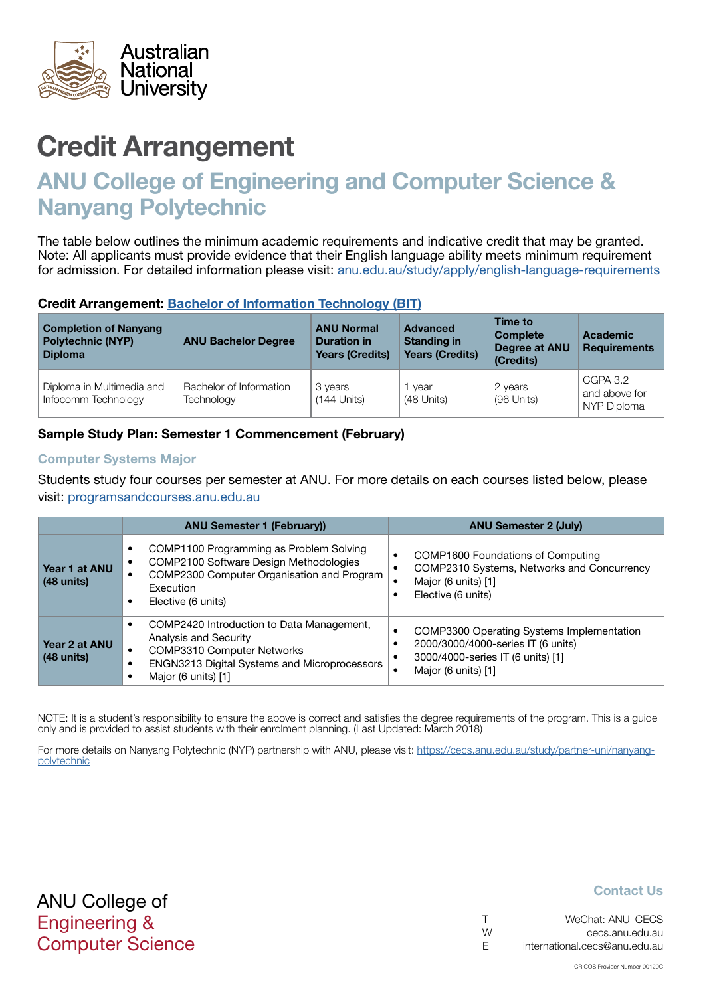<span id="page-3-0"></span>

# ANU College of Engineering and Computer Science & Nanyang Polytechnic

The table below outlines the minimum academic requirements and indicative credit that may be granted. Note: All applicants must provide evidence that their English language ability meets minimum requirement for admission. For detailed information please visit: [anu.edu.au/study/apply/english-language-requirements](http://anu.edu.au/study/apply/english-language-requirements)

## Credit Arrangement: [Bachelor of](http://programsandcourses.anu.edu.au/program/BIT) Information Technology (BIT)

| <b>Completion of Nanyang</b><br><b>Polytechnic (NYP)</b><br><b>Diploma</b> | <b>ANU Bachelor Degree</b>            | <b>ANU Normal</b><br><b>Duration in</b><br><b>Years (Credits)</b> | <b>Advanced</b><br><b>Standing in</b><br><b>Years (Credits)</b> | Time to<br><b>Complete</b><br>Degree at ANU<br>(Credits) | Academic<br><b>Requirements</b>          |
|----------------------------------------------------------------------------|---------------------------------------|-------------------------------------------------------------------|-----------------------------------------------------------------|----------------------------------------------------------|------------------------------------------|
| Diploma in Multimedia and<br>Infocomm Technology                           | Bachelor of Information<br>Technology | 3 years<br>$(144$ Units)                                          | vear<br>(48 Units)                                              | 2 years<br>(96 Units)                                    | CGPA 3.2<br>and above for<br>NYP Diploma |

# Sample Study Plan: Semester 1 Commencement (February)

#### Computer Systems Major

Students study four courses per semester at ANU. For more details on each courses listed below, please visit: [programsandcourses.anu.edu.au](http://programsandcourses.anu.edu.au/program/BIT)

|                               | <b>ANU Semester 1 (February))</b>                                                                                                                                                     | <b>ANU Semester 2 (July)</b>                                                                                                                |  |  |
|-------------------------------|---------------------------------------------------------------------------------------------------------------------------------------------------------------------------------------|---------------------------------------------------------------------------------------------------------------------------------------------|--|--|
| Year 1 at ANU<br>$(48$ units) | COMP1100 Programming as Problem Solving<br>COMP2100 Software Design Methodologies<br>COMP2300 Computer Organisation and Program<br>Execution<br>Elective (6 units)                    | <b>COMP1600 Foundations of Computing</b><br>COMP2310 Systems, Networks and Concurrency<br>Major (6 units) [1]<br>Elective (6 units)         |  |  |
| Year 2 at ANU<br>$(48$ units) | COMP2420 Introduction to Data Management,<br>Analysis and Security<br><b>COMP3310 Computer Networks</b><br><b>ENGN3213 Digital Systems and Microprocessors</b><br>Major (6 units) [1] | COMP3300 Operating Systems Implementation<br>2000/3000/4000-series IT (6 units)<br>3000/4000-series IT (6 units) [1]<br>Major (6 units) [1] |  |  |

NOTE: It is a student's responsibility to ensure the above is correct and satisfies the degree requirements of the program. This is a guide only and is provided to assist students with their enrolment planning. (Last Updated: March 2018)

For more details on Nanyang Polytechnic (NYP) partnership with ANU, please visit: https://cecs.anu.edu.au/study/partner-uni/nanyangpolytechnic

| $\top$ | WeChat: ANU CECS              |
|--------|-------------------------------|
| W      | cecs.anu.edu.au               |
| -F     | international.cecs@anu.edu.au |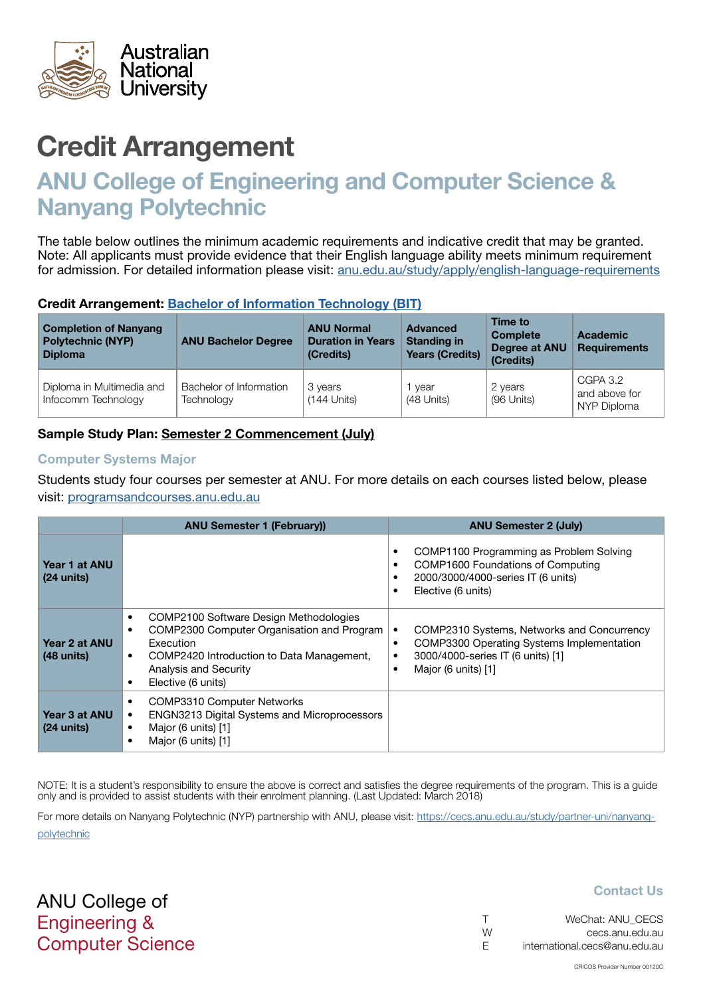<span id="page-4-0"></span>

# ANU College of Engineering and Computer Science & Nanyang Polytechnic

The table below outlines the minimum academic requirements and indicative credit that may be granted. Note: All applicants must provide evidence that their English language ability meets minimum requirement for admission. For detailed information please visit: [anu.edu.au/study/apply/english-language-requirements](http://anu.edu.au/study/apply/english-language-requirements)

## Credit Arrangement: [Bachelor of](http://programsandcourses.anu.edu.au/program/BIT) Information Technology (BIT)

| <b>Completion of Nanyang</b><br><b>Polytechnic (NYP)</b><br><b>Diploma</b> | <b>ANU Bachelor Degree</b>            | <b>ANU Normal</b><br><b>Duration in Years</b><br>(Credits) | Advanced<br><b>Standing in</b><br><b>Years (Credits)</b> | Time to<br><b>Complete</b><br>Degree at ANU<br>(Credits) | <b>Academic</b><br><b>Requirements</b>   |
|----------------------------------------------------------------------------|---------------------------------------|------------------------------------------------------------|----------------------------------------------------------|----------------------------------------------------------|------------------------------------------|
| Diploma in Multimedia and<br>Infocomm Technology                           | Bachelor of Information<br>Technology | 3 years<br>$(144$ Units)                                   | vear<br>(48 Units)                                       | 2 years<br>(96 Units)                                    | CGPA 3.2<br>and above for<br>NYP Diploma |

# Sample Study Plan: Semester 2 Commencement (July)

#### Computer Systems Major

Students study four courses per semester at ANU. For more details on each courses listed below, please visit: [programsandcourses.anu.edu.au](http://programsandcourses.anu.edu.au/program/BIT)

|                                       | <b>ANU Semester 1 (February))</b>                                                                                                                                                                                                                        | <b>ANU Semester 2 (July)</b>                                                                                                                                              |
|---------------------------------------|----------------------------------------------------------------------------------------------------------------------------------------------------------------------------------------------------------------------------------------------------------|---------------------------------------------------------------------------------------------------------------------------------------------------------------------------|
| Year 1 at ANU<br>$(24 \text{ units})$ |                                                                                                                                                                                                                                                          | COMP1100 Programming as Problem Solving<br>COMP1600 Foundations of Computing<br>$\bullet$<br>2000/3000/4000-series IT (6 units)<br>Elective (6 units)                     |
| Year 2 at ANU<br>$(48$ units)         | COMP2100 Software Design Methodologies<br>$\bullet$<br>COMP2300 Computer Organisation and Program<br>$\bullet$<br><b>Execution</b><br>COMP2420 Introduction to Data Management,<br>$\bullet$<br>Analysis and Security<br>Elective (6 units)<br>$\bullet$ | COMP2310 Systems, Networks and Concurrency<br><b>COMP3300 Operating Systems Implementation</b><br>٠<br>3000/4000-series IT (6 units) [1]<br>٠<br>Major (6 units) [1]<br>٠ |
| Year 3 at ANU<br>$(24 \text{ units})$ | <b>COMP3310 Computer Networks</b><br>$\bullet$<br>ENGN3213 Digital Systems and Microprocessors<br>$\bullet$<br>Major (6 units) [1]<br>$\bullet$<br>Major (6 units) [1]<br>$\bullet$                                                                      |                                                                                                                                                                           |

NOTE: It is a student's responsibility to ensure the above is correct and satisfies the degree requirements of the program. This is a guide only and is provided to assist students with their enrolment planning. (Last Updated: March 2018)

For more details on Nanyang Polytechnic (NYP) partnership with ANU, please visit: https://cecs.anu.edu.au/study/partner-uni/nanyangpolytechnic

ANU College of Engineering & Computer Science

| $\top$ | WeChat: ANU CECS              |
|--------|-------------------------------|
| W      | cecs.anu.edu.au               |
| -F     | international.cecs@anu.edu.au |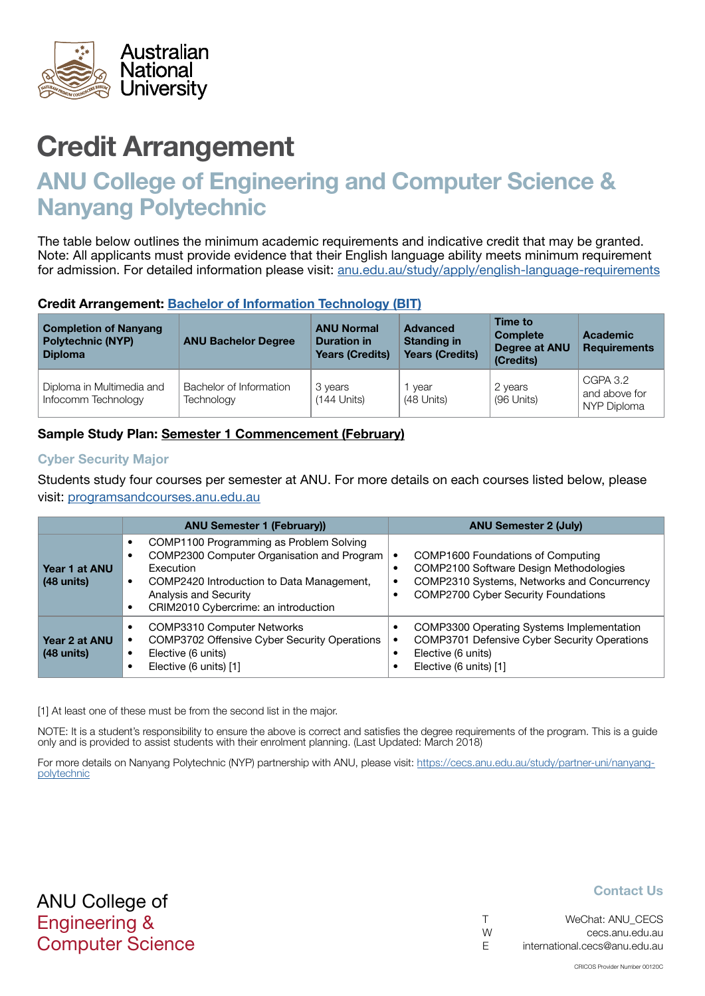<span id="page-5-0"></span>

# ANU College of Engineering and Computer Science & Nanyang Polytechnic

The table below outlines the minimum academic requirements and indicative credit that may be granted. Note: All applicants must provide evidence that their English language ability meets minimum requirement for admission. For detailed information please visit: [anu.edu.au/study/apply/english-language-requirements](http://anu.edu.au/study/apply/english-language-requirements)

## Credit Arrangement: [Bachelor of](http://programsandcourses.anu.edu.au/program/BIT) Information Technology (BIT)

| <b>Completion of Nanyang</b><br><b>Polytechnic (NYP)</b><br><b>Diploma</b> | <b>ANU Bachelor Degree</b>            | <b>ANU Normal</b><br><b>Duration in</b><br><b>Years (Credits)</b> | <b>Advanced</b><br><b>Standing in</b><br><b>Years (Credits)</b> | Time to<br><b>Complete</b><br><b>Degree at ANU</b><br>(Credits) | Academic<br><b>Requirements</b>          |
|----------------------------------------------------------------------------|---------------------------------------|-------------------------------------------------------------------|-----------------------------------------------------------------|-----------------------------------------------------------------|------------------------------------------|
| Diploma in Multimedia and<br>Infocomm Technology                           | Bachelor of Information<br>Technology | 3 years<br>$(144$ Units)                                          | vear<br>(48 Units)                                              | 2 years<br>(96 Units)                                           | CGPA 3.2<br>and above for<br>NYP Diploma |

# Sample Study Plan: Semester 1 Commencement (February)

#### Cyber Security Major

Students study four courses per semester at ANU. For more details on each courses listed below, please visit: [programsandcourses.anu.edu.au](http://programsandcourses.anu.edu.au/program/BIT)

|                                       | <b>ANU Semester 1 (February))</b>                                                                                                                                                                                       | <b>ANU Semester 2 (July)</b>                                                                                                                                                                                          |
|---------------------------------------|-------------------------------------------------------------------------------------------------------------------------------------------------------------------------------------------------------------------------|-----------------------------------------------------------------------------------------------------------------------------------------------------------------------------------------------------------------------|
| Year 1 at ANU<br>$(48$ units)         | COMP1100 Programming as Problem Solving<br>COMP2300 Computer Organisation and Program<br><b>Execution</b><br>COMP2420 Introduction to Data Management,<br>Analysis and Security<br>CRIM2010 Cybercrime: an introduction | <b>COMP1600 Foundations of Computing</b><br>$\bullet$<br>COMP2100 Software Design Methodologies<br>COMP2310 Systems, Networks and Concurrency<br>$\bullet$<br><b>COMP2700 Cyber Security Foundations</b><br>$\bullet$ |
| Year 2 at ANU<br>$(48 \text{ units})$ | <b>COMP3310 Computer Networks</b><br>COMP3702 Offensive Cyber Security Operations<br>Elective (6 units)<br>Elective (6 units) [1]                                                                                       | COMP3300 Operating Systems Implementation<br>٠<br>COMP3701 Defensive Cyber Security Operations<br>Elective (6 units)<br>Elective (6 units) [1]                                                                        |

[1] At least one of these must be from the second list in the major.

NOTE: It is a student's responsibility to ensure the above is correct and satisfies the degree requirements of the program. This is a guide only and is provided to assist students with their enrolment planning. (Last Updated: March 2018)

For more details on Nanyang Polytechnic (NYP) partnership with ANU, please visit: https://cecs.anu.edu.au/study/partner-uni/nanyangpolytechnic

| $\top$ | WeChat: ANU CECS              |
|--------|-------------------------------|
| W      | cecs.anu.edu.au               |
| -F     | international.cecs@anu.edu.au |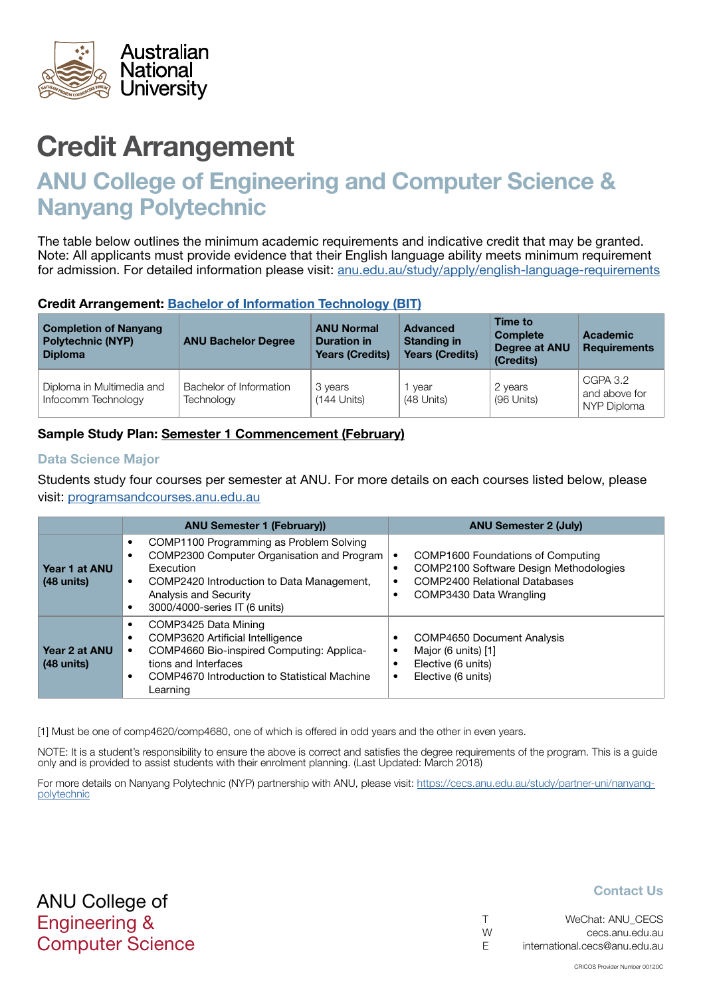<span id="page-6-0"></span>

# ANU College of Engineering and Computer Science & Nanyang Polytechnic

The table below outlines the minimum academic requirements and indicative credit that may be granted. Note: All applicants must provide evidence that their English language ability meets minimum requirement for admission. For detailed information please visit: [anu.edu.au/study/apply/english-language-requirements](http://anu.edu.au/study/apply/english-language-requirements)

## Credit Arrangement: Bachelor of Information Technology (BIT)

| <b>Completion of Nanyang</b><br><b>Polytechnic (NYP)</b><br><b>Diploma</b> | <b>ANU Bachelor Degree</b>            | <b>ANU Normal</b><br><b>Duration in</b><br><b>Years (Credits)</b> | <b>Advanced</b><br><b>Standing in</b><br><b>Years (Credits)</b> | Time to<br><b>Complete</b><br><b>Degree at ANU</b><br>(Credits) | Academic<br><b>Requirements</b>          |
|----------------------------------------------------------------------------|---------------------------------------|-------------------------------------------------------------------|-----------------------------------------------------------------|-----------------------------------------------------------------|------------------------------------------|
| Diploma in Multimedia and<br>Infocomm Technology                           | Bachelor of Information<br>Technology | 3 years<br>$(144$ Units)                                          | vear<br>(48 Units)                                              | 2 years<br>(96 Units)                                           | CGPA 3.2<br>and above for<br>NYP Diploma |

# Sample Study Plan: Semester 1 Commencement (February)

#### Data Science Major

Students study four courses per semester at ANU. For more details on each courses listed below, please visit: [programsandcourses.anu.edu.au](http://programsandcourses.anu.edu.au/program/BIT)

|                               | <b>ANU Semester 1 (February))</b>                                                                                                                                                                                                          | <b>ANU Semester 2 (July)</b>                                                                                                                   |
|-------------------------------|--------------------------------------------------------------------------------------------------------------------------------------------------------------------------------------------------------------------------------------------|------------------------------------------------------------------------------------------------------------------------------------------------|
| Year 1 at ANU<br>$(48$ units) | COMP1100 Programming as Problem Solving<br>COMP2300 Computer Organisation and Program<br>$\bullet$<br><b>Execution</b><br>COMP2420 Introduction to Data Management,<br>$\bullet$<br>Analysis and Security<br>3000/4000-series IT (6 units) | COMP1600 Foundations of Computing<br>COMP2100 Software Design Methodologies<br><b>COMP2400 Relational Databases</b><br>COMP3430 Data Wrangling |
| Year 2 at ANU<br>$(48$ units) | COMP3425 Data Mining<br>٠<br>COMP3620 Artificial Intelligence<br>$\bullet$<br>COMP4660 Bio-inspired Computing: Applica-<br>tions and Interfaces<br>COMP4670 Introduction to Statistical Machine<br>$\bullet$<br>Learning                   | <b>COMP4650 Document Analysis</b><br>Major (6 units) [1]<br>Elective (6 units)<br>Elective (6 units)                                           |

[1] Must be one of comp4620/comp4680, one of which is offered in odd years and the other in even years.

NOTE: It is a student's responsibility to ensure the above is correct and satisfies the degree requirements of the program. This is a guide only and is provided to assist students with their enrolment planning. (Last Updated: March 2018)

For more details on Nanyang Polytechnic (NYP) partnership with ANU, please visit: https://cecs.anu.edu.au/study/partner-uni/nanyangpolytechnic

ANU College of Engineering & Computer Science

| $\top$ | WeChat: ANU CECS              |
|--------|-------------------------------|
| W      | cecs.anu.edu.au               |
| E      | international.cecs@anu.edu.au |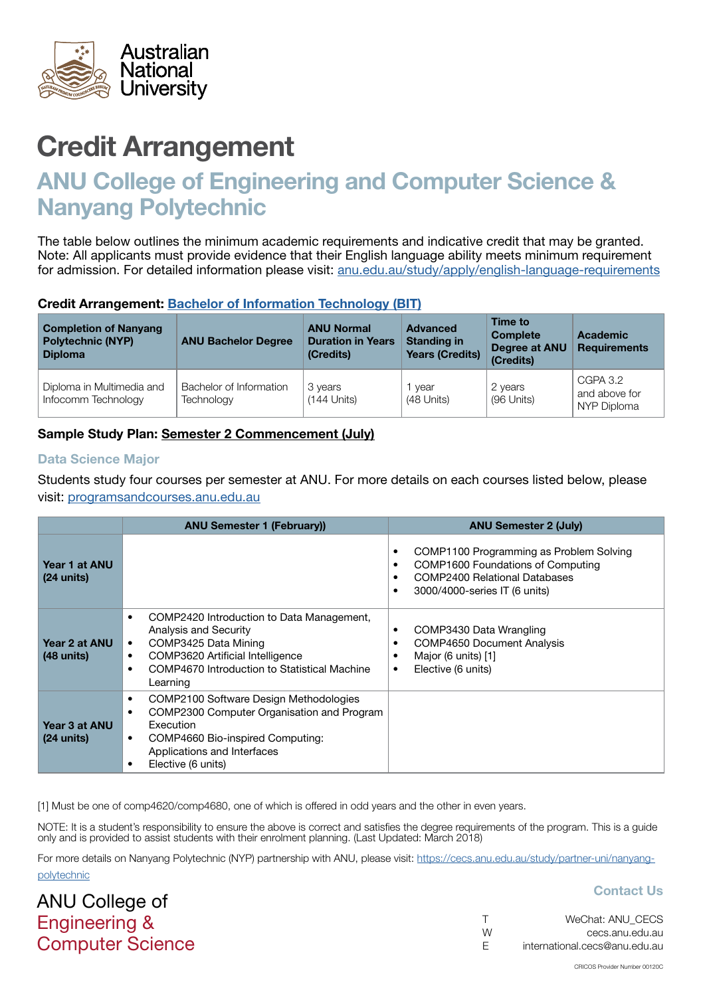<span id="page-7-0"></span>

# ANU College of Engineering and Computer Science & Nanyang Polytechnic

The table below outlines the minimum academic requirements and indicative credit that may be granted. Note: All applicants must provide evidence that their English language ability meets minimum requirement for admission. For detailed information please visit: [anu.edu.au/study/apply/english-language-requirements](http://anu.edu.au/study/apply/english-language-requirements)

## Credit Arrangement: [Bachelor of](http://programsandcourses.anu.edu.au/program/BIT) Information Technology (BIT)

| <b>Completion of Nanyang</b><br><b>Polytechnic (NYP)</b><br><b>Diploma</b> | <b>ANU Bachelor Degree</b>            | <b>ANU Normal</b><br><b>Duration in Years</b><br>(Credits) | Advanced<br><b>Standing in</b><br><b>Years (Credits)</b> | Time to<br><b>Complete</b><br>Degree at ANU<br>(Credits) | <b>Academic</b><br><b>Requirements</b>   |
|----------------------------------------------------------------------------|---------------------------------------|------------------------------------------------------------|----------------------------------------------------------|----------------------------------------------------------|------------------------------------------|
| Diploma in Multimedia and<br>Infocomm Technology                           | Bachelor of Information<br>Technology | 3 years<br>$(144$ Units)                                   | vear<br>(48 Units)                                       | 2 years<br>(96 Units)                                    | CGPA 3.2<br>and above for<br>NYP Diploma |

# Sample Study Plan: Semester 2 Commencement (July)

#### Data Science Major

ANU College of Engineering &

Computer Science

Students study four courses per semester at ANU. For more details on each courses listed below, please visit: [programsandcourses.anu.edu.au](http://programsandcourses.anu.edu.au/program/BIT)

|                                       | <b>ANU Semester 1 (February))</b>                                                                                                                                                                                                     | <b>ANU Semester 2 (July)</b>                                                                                                                          |
|---------------------------------------|---------------------------------------------------------------------------------------------------------------------------------------------------------------------------------------------------------------------------------------|-------------------------------------------------------------------------------------------------------------------------------------------------------|
| Year 1 at ANU<br>$(24 \text{ units})$ |                                                                                                                                                                                                                                       | COMP1100 Programming as Problem Solving<br>COMP1600 Foundations of Computing<br><b>COMP2400 Relational Databases</b><br>3000/4000-series IT (6 units) |
| Year 2 at ANU<br>$(48$ units)         | COMP2420 Introduction to Data Management,<br>٠<br><b>Analysis and Security</b><br>COMP3425 Data Mining<br>$\bullet$<br>COMP3620 Artificial Intelligence<br>٠<br>COMP4670 Introduction to Statistical Machine<br>$\bullet$<br>Learning | COMP3430 Data Wrangling<br><b>COMP4650 Document Analysis</b><br>Major (6 units) [1]<br>Elective (6 units)<br>٠                                        |
| Year 3 at ANU<br>$(24 \text{ units})$ | COMP2100 Software Design Methodologies<br>٠<br>COMP2300 Computer Organisation and Program<br>٠<br>Execution<br>COMP4660 Bio-inspired Computing:<br>$\bullet$<br>Applications and Interfaces<br>Elective (6 units)<br>٠                |                                                                                                                                                       |

[1] Must be one of comp4620/comp4680, one of which is offered in odd years and the other in even years.

NOTE: It is a student's responsibility to ensure the above is correct and satisfies the degree requirements of the program. This is a guide only and is provided to assist students with their enrolment planning. (Last Updated: March 2018)

For more details on Nanyang Polytechnic (NYP) partnership with ANU, please visit: https://cecs.anu.edu.au/study/partner-uni/nanyangpolytechnic

|   | WeChat: ANU CECS              |
|---|-------------------------------|
| W | cecs.anu.edu.au               |
| E | international.cecs@anu.edu.au |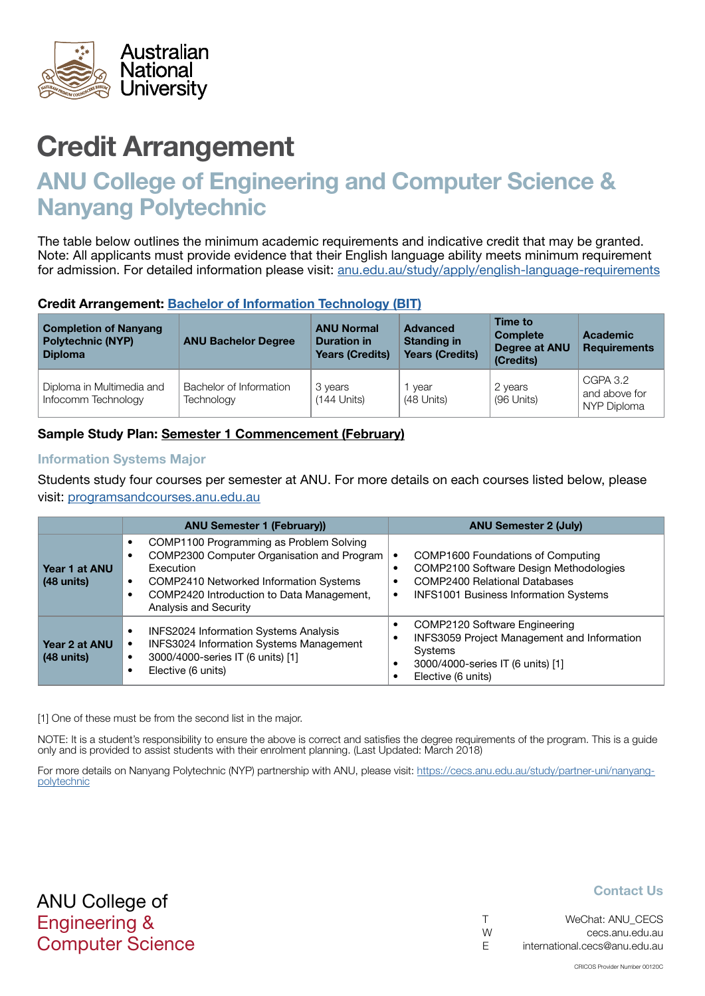<span id="page-8-0"></span>

# ANU College of Engineering and Computer Science & Nanyang Polytechnic

The table below outlines the minimum academic requirements and indicative credit that may be granted. Note: All applicants must provide evidence that their English language ability meets minimum requirement for admission. For detailed information please visit: [anu.edu.au/study/apply/english-language-requirements](http://anu.edu.au/study/apply/english-language-requirements)

## Credit Arrangement: Bachelor of Information Technology (BIT)

| <b>Completion of Nanyang</b><br><b>Polytechnic (NYP)</b><br><b>Diploma</b> | <b>ANU Bachelor Degree</b>            | <b>ANU Normal</b><br><b>Duration in</b><br><b>Years (Credits)</b> | <b>Advanced</b><br><b>Standing in</b><br><b>Years (Credits)</b> | Time to<br><b>Complete</b><br>Degree at ANU<br>(Credits) | Academic<br><b>Requirements</b>          |
|----------------------------------------------------------------------------|---------------------------------------|-------------------------------------------------------------------|-----------------------------------------------------------------|----------------------------------------------------------|------------------------------------------|
| Diploma in Multimedia and<br>Infocomm Technology                           | Bachelor of Information<br>Technology | 3 years<br>$(144$ Units)                                          | vear<br>(48 Units)                                              | 2 years<br>(96 Units)                                    | CGPA 3.2<br>and above for<br>NYP Diploma |

# Sample Study Plan: Semester 1 Commencement (February)

#### Information Systems Major

Students study four courses per semester at ANU. For more details on each courses listed below, please visit: [programsandcourses.anu.edu.au](http://programsandcourses.anu.edu.au/program/BIT)

|                               | <b>ANU Semester 1 (February))</b>                                                                                                                                                                                               | <b>ANU Semester 2 (July)</b>                                                                                                                                                     |
|-------------------------------|---------------------------------------------------------------------------------------------------------------------------------------------------------------------------------------------------------------------------------|----------------------------------------------------------------------------------------------------------------------------------------------------------------------------------|
| Year 1 at ANU<br>$(48$ units) | COMP1100 Programming as Problem Solving<br>COMP2300 Computer Organisation and Program<br>Execution<br>COMP2410 Networked Information Systems<br>$\bullet$<br>COMP2420 Introduction to Data Management,<br>Analysis and Security | COMP1600 Foundations of Computing<br>COMP2100 Software Design Methodologies<br><b>COMP2400 Relational Databases</b><br><b>INFS1001 Business Information Systems</b><br>$\bullet$ |
| Year 2 at ANU<br>$(48$ units) | <b>INFS2024 Information Systems Analysis</b><br><b>INFS3024 Information Systems Management</b><br>3000/4000-series IT (6 units) [1]<br>٠<br>Elective (6 units)                                                                  | COMP2120 Software Engineering<br>INFS3059 Project Management and Information<br>Systems<br>3000/4000-series IT (6 units) [1]<br>Elective (6 units)                               |

[1] One of these must be from the second list in the major.

NOTE: It is a student's responsibility to ensure the above is correct and satisfies the degree requirements of the program. This is a guide only and is provided to assist students with their enrolment planning. (Last Updated: March 2018)

For more details on Nanyang Polytechnic (NYP) partnership with ANU, please visit: https://cecs.anu.edu.au/study/partner-uni/nanyangpolytechnic

# ANU College of Engineering & Computer Science

|   | WeChat: ANU CECS              |
|---|-------------------------------|
| W | cecs.anu.edu.au               |
| F | international.cecs@anu.edu.au |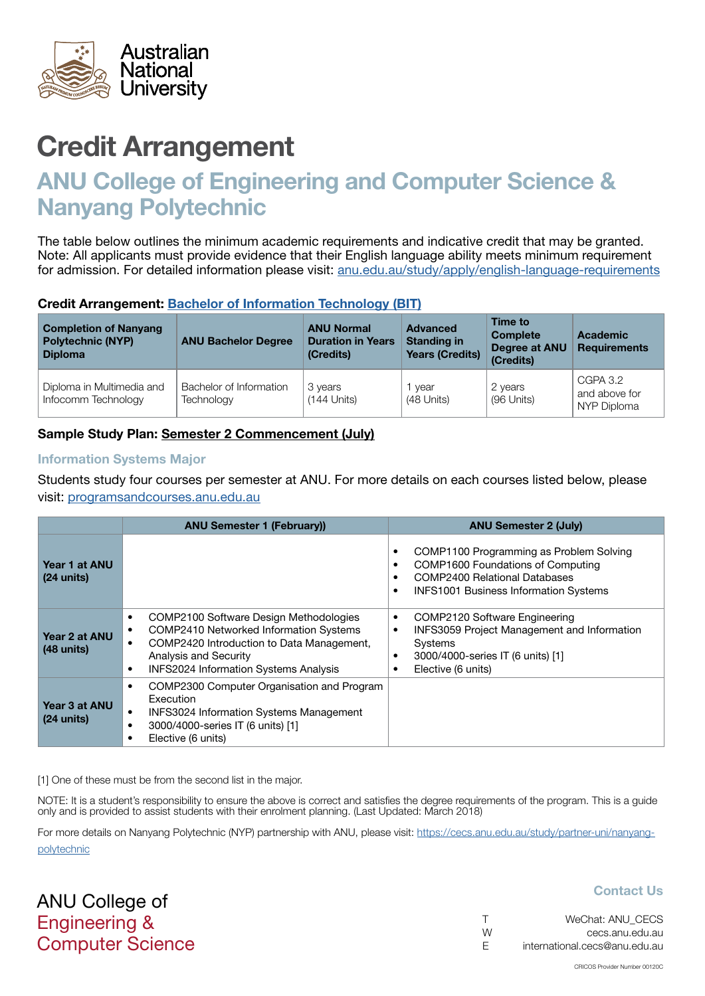<span id="page-9-0"></span>

# ANU College of Engineering and Computer Science & Nanyang Polytechnic

The table below outlines the minimum academic requirements and indicative credit that may be granted. Note: All applicants must provide evidence that their English language ability meets minimum requirement for admission. For detailed information please visit: [anu.edu.au/study/apply/english-language-requirements](http://anu.edu.au/study/apply/english-language-requirements)

## Credit Arrangement: Bachelor of Information Technology (BIT)

| <b>Completion of Nanyang</b><br><b>Polytechnic (NYP)</b><br><b>Diploma</b> | <b>ANU Bachelor Degree</b>            | <b>ANU Normal</b><br><b>Duration in Years</b><br>(Credits) | Advanced<br><b>Standing in</b><br><b>Years (Credits)</b> | Time to<br><b>Complete</b><br>Degree at ANU<br>(Credits) | <b>Academic</b><br><b>Requirements</b>   |
|----------------------------------------------------------------------------|---------------------------------------|------------------------------------------------------------|----------------------------------------------------------|----------------------------------------------------------|------------------------------------------|
| Diploma in Multimedia and<br>Infocomm Technology                           | Bachelor of Information<br>Technology | 3 years<br>$(144$ Units)                                   | vear<br>(48 Units)                                       | 2 years<br>(96 Units)                                    | CGPA 3.2<br>and above for<br>NYP Diploma |

# Sample Study Plan: Semester 2 Commencement (July)

#### Information Systems Major

Students study four courses per semester at ANU. For more details on each courses listed below, please visit: [programsandcourses.anu.edu.au](http://programsandcourses.anu.edu.au/program/BIT)

|                                       | <b>ANU Semester 1 (February))</b>                                                                                                                                                                                                              | <b>ANU Semester 2 (July)</b>                                                                                                                                                                                     |
|---------------------------------------|------------------------------------------------------------------------------------------------------------------------------------------------------------------------------------------------------------------------------------------------|------------------------------------------------------------------------------------------------------------------------------------------------------------------------------------------------------------------|
| Year 1 at ANU<br>$(24 \text{ units})$ |                                                                                                                                                                                                                                                | COMP1100 Programming as Problem Solving<br>$\bullet$<br>COMP1600 Foundations of Computing<br>$\bullet$<br><b>COMP2400 Relational Databases</b><br>٠<br><b>INFS1001 Business Information Systems</b><br>$\bullet$ |
| Year 2 at ANU<br>$(48 \text{ units})$ | COMP2100 Software Design Methodologies<br>$\bullet$<br><b>COMP2410 Networked Information Systems</b><br>COMP2420 Introduction to Data Management,<br><b>Analysis and Security</b><br><b>INFS2024 Information Systems Analysis</b><br>$\bullet$ | COMP2120 Software Engineering<br>٠<br><b>INFS3059 Project Management and Information</b><br>٠<br>Systems<br>3000/4000-series IT (6 units) [1]<br>٠<br>Elective (6 units)                                         |
| Year 3 at ANU<br>$(24 \text{ units})$ | COMP2300 Computer Organisation and Program<br>$\bullet$<br>Execution<br><b>INFS3024 Information Systems Management</b><br>3000/4000-series IT (6 units) [1]<br>$\bullet$<br>Elective (6 units)<br>$\bullet$                                    |                                                                                                                                                                                                                  |

[1] One of these must be from the second list in the major.

NOTE: It is a student's responsibility to ensure the above is correct and satisfies the degree requirements of the program. This is a quide only and is provided to assist students with their enrolment planning. (Last Updated: March 2018)

For more details on Nanyang Polytechnic (NYP) partnership with ANU, please visit: https://cecs.anu.edu.au/study/partner-uni/nanyangpolytechnic

ANU College of Engineering & Computer Science

| $\top$ | WeChat: ANU CECS              |
|--------|-------------------------------|
| W      | cecs.anu.edu.au               |
| E      | international.cecs@anu.edu.au |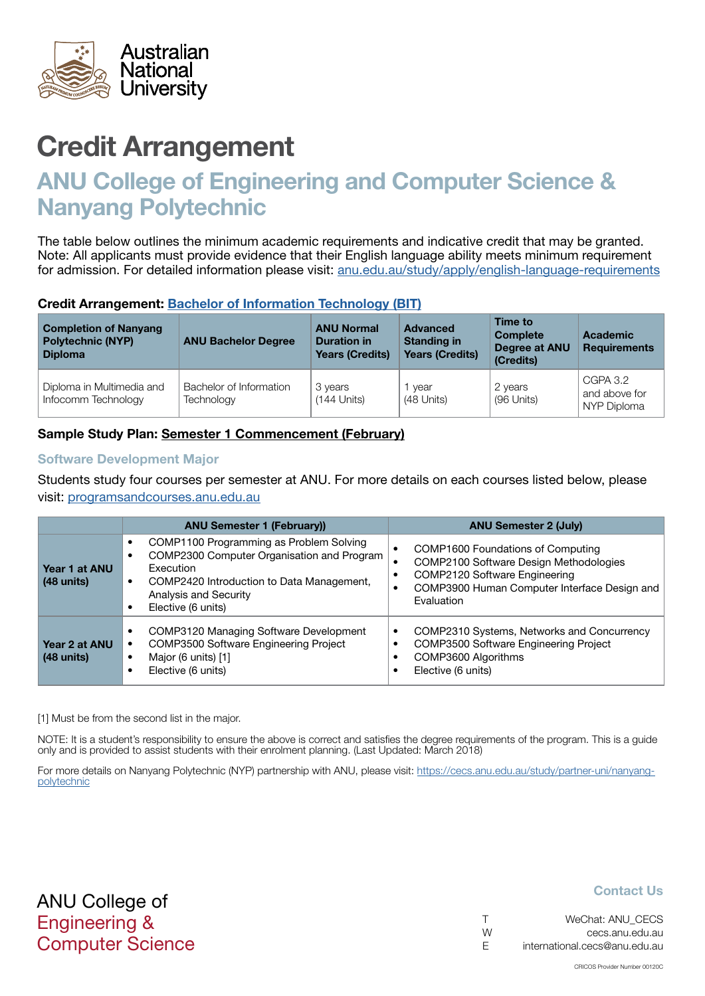<span id="page-10-0"></span>

# ANU College of Engineering and Computer Science & Nanyang Polytechnic

The table below outlines the minimum academic requirements and indicative credit that may be granted. Note: All applicants must provide evidence that their English language ability meets minimum requirement for admission. For detailed information please visit: [anu.edu.au/study/apply/english-language-requirements](http://anu.edu.au/study/apply/english-language-requirements)

## Credit Arrangement: Bachelor of Information Technology (BIT)

| <b>Completion of Nanyang</b><br><b>Polytechnic (NYP)</b><br><b>Diploma</b> | <b>ANU Bachelor Degree</b>            | <b>ANU Normal</b><br><b>Duration in</b><br><b>Years (Credits)</b> | <b>Advanced</b><br><b>Standing in</b><br><b>Years (Credits)</b> | Time to<br><b>Complete</b><br><b>Degree at ANU</b><br>(Credits) | Academic<br><b>Requirements</b>          |
|----------------------------------------------------------------------------|---------------------------------------|-------------------------------------------------------------------|-----------------------------------------------------------------|-----------------------------------------------------------------|------------------------------------------|
| Diploma in Multimedia and<br>Infocomm Technology                           | Bachelor of Information<br>Technology | 3 years<br>$(144$ Units)                                          | vear<br>(48 Units)                                              | 2 years<br>(96 Units)                                           | CGPA 3.2<br>and above for<br>NYP Diploma |

# Sample Study Plan: Semester 1 Commencement (February)

#### Software Development Major

Students study four courses per semester at ANU. For more details on each courses listed below, please visit: [programsandcourses.anu.edu.au](http://programsandcourses.anu.edu.au/program/BIT)

|                               | <b>ANU Semester 1 (February))</b>                                                                                                                                                                           | <b>ANU Semester 2 (July)</b>                                                                                                                                               |
|-------------------------------|-------------------------------------------------------------------------------------------------------------------------------------------------------------------------------------------------------------|----------------------------------------------------------------------------------------------------------------------------------------------------------------------------|
| Year 1 at ANU<br>$(48$ units) | COMP1100 Programming as Problem Solving<br>COMP2300 Computer Organisation and Program<br>Execution<br>COMP2420 Introduction to Data Management,<br>$\bullet$<br>Analysis and Security<br>Elective (6 units) | COMP1600 Foundations of Computing<br>COMP2100 Software Design Methodologies<br>COMP2120 Software Engineering<br>COMP3900 Human Computer Interface Design and<br>Evaluation |
| Year 2 at ANU<br>$(48$ units) | COMP3120 Managing Software Development<br>COMP3500 Software Engineering Project<br>Major (6 units) [1]<br>$\bullet$<br>Elective (6 units)                                                                   | COMP2310 Systems, Networks and Concurrency<br>٠<br>COMP3500 Software Engineering Project<br>COMP3600 Algorithms<br>Elective (6 units)                                      |

[1] Must be from the second list in the major.

NOTE: It is a student's responsibility to ensure the above is correct and satisfies the degree requirements of the program. This is a guide only and is provided to assist students with their enrolment planning. (Last Updated: March 2018)

For more details on Nanyang Polytechnic (NYP) partnership with ANU, please visit: https://cecs.anu.edu.au/study/partner-uni/nanyangpolytechnic

ANU College of Engineering & Computer Science

|   | WeChat: ANU CECS              |
|---|-------------------------------|
| W | cecs.anu.edu.au               |
| F | international.cecs@anu.edu.au |